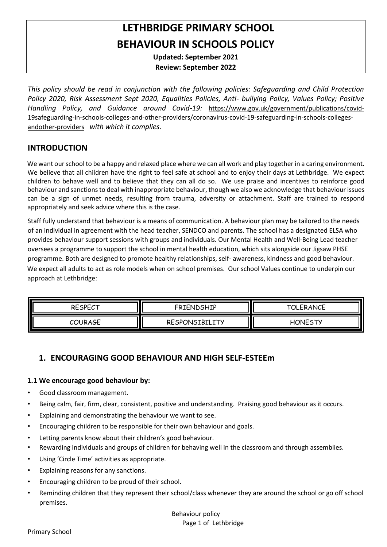# **LETHBRIDGE PRIMARY SCHOOL BEHAVIOUR IN SCHOOLS POLICY**

**Updated: September 2021**

**Review: September 2022**

*This policy should be read in conjunction with the following policies: Safeguarding and Child Protection Policy 2020, Risk Assessment Sept 2020, Equalities Policies, Anti- bullying Policy, Values Policy; Positive Handling Policy, and Guidance around Covid-19:* [https://www.gov.uk/government/publications/covid-](https://www.gov.uk/government/publications/covid-19-safeguarding-in-schools-colleges-and-other-providers/coronavirus-covid-19-safeguarding-in-schools-colleges-and-other-providers)[19safeguarding-in-schools-colleges-and-other-providers/coronavirus-covid-19-safeguarding-in-schools-colleges](https://www.gov.uk/government/publications/covid-19-safeguarding-in-schools-colleges-and-other-providers/coronavirus-covid-19-safeguarding-in-schools-colleges-and-other-providers)[andother-providers](https://www.gov.uk/government/publications/covid-19-safeguarding-in-schools-colleges-and-other-providers/coronavirus-covid-19-safeguarding-in-schools-colleges-and-other-providers) *with which it complies.* 

#### **INTRODUCTION**

We want our school to be a happy and relaxed place where we can all work and play together in a caring environment. We believe that all children have the right to feel safe at school and to enjoy their days at Lethbridge. We expect children to behave well and to believe that they can all do so. We use praise and incentives to reinforce good behaviour and sanctions to deal with inappropriate behaviour, though we also we acknowledge that behaviour issues can be a sign of unmet needs, resulting from trauma, adversity or attachment. Staff are trained to respond appropriately and seek advice where this is the case.

Staff fully understand that behaviour is a means of communication. A behaviour plan may be tailored to the needs of an individual in agreement with the head teacher, SENDCO and parents. The school has a designated ELSA who provides behaviour support sessions with groups and individuals. Our Mental Health and Well-Being Lead teacher oversees a programme to support the school in mental health education, which sits alongside our Jigsaw PHSE programme. Both are designed to promote healthy relationships, self- awareness, kindness and good behaviour. We expect all adults to act as role models when on school premises. Our school Values continue to underpin our approach at Lethbridge:

| ║<br><b>RESPECT</b> | <b>FRIENDSHIP</b> | <b>TOLERANCE</b> |
|---------------------|-------------------|------------------|
| ║<br>COURAGE        | RESPONSIBILITY    | <b>HONESTY</b>   |

# **1. ENCOURAGING GOOD BEHAVIOUR AND HIGH SELF-ESTEEm**

#### **1.1 We encourage good behaviour by:**

- Good classroom management.
- Being calm, fair, firm, clear, consistent, positive and understanding. Praising good behaviour as it occurs.
- Explaining and demonstrating the behaviour we want to see.
- Encouraging children to be responsible for their own behaviour and goals.
- Letting parents know about their children's good behaviour.
- Rewarding individuals and groups of children for behaving well in the classroom and through assemblies.
- Using 'Circle Time' activities as appropriate.
- Explaining reasons for any sanctions.
- Encouraging children to be proud of their school.
- Reminding children that they represent their school/class whenever they are around the school or go off school premises.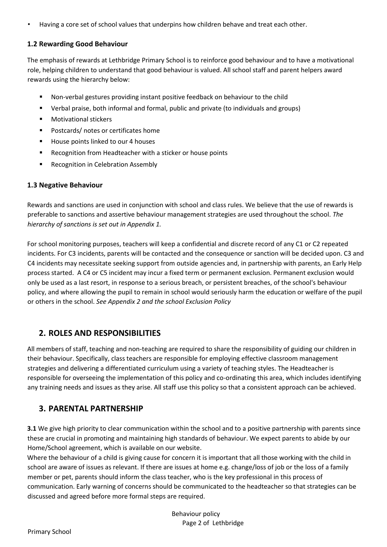• Having a core set of school values that underpins how children behave and treat each other.

#### **1.2 Rewarding Good Behaviour**

The emphasis of rewards at Lethbridge Primary School is to reinforce good behaviour and to have a motivational role, helping children to understand that good behaviour is valued. All school staff and parent helpers award rewards using the hierarchy below:

- Non-verbal gestures providing instant positive feedback on behaviour to the child
- Verbal praise, both informal and formal, public and private (to individuals and groups)
- **Notivational stickers**
- **Postcards/ notes or certificates home**
- House points linked to our 4 houses
- Recognition from Headteacher with a sticker or house points
- Recognition in Celebration Assembly

#### **1.3 Negative Behaviour**

Rewards and sanctions are used in conjunction with school and class rules. We believe that the use of rewards is preferable to sanctions and assertive behaviour management strategies are used throughout the school. *The hierarchy of sanctions is set out in Appendix 1.* 

For school monitoring purposes, teachers will keep a confidential and discrete record of any C1 or C2 repeated incidents. For C3 incidents, parents will be contacted and the consequence or sanction will be decided upon. C3 and C4 incidents may necessitate seeking support from outside agencies and, in partnership with parents, an Early Help process started. A C4 or C5 incident may incur a fixed term or permanent exclusion. Permanent exclusion would only be used as a last resort, in response to a serious breach, or persistent breaches, of the school's behaviour policy, and where allowing the pupil to remain in school would seriously harm the education or welfare of the pupil or others in the school. *See Appendix 2 and the school Exclusion Policy*

# **2. ROLES AND RESPONSIBILITIES**

All members of staff, teaching and non-teaching are required to share the responsibility of guiding our children in their behaviour. Specifically, class teachers are responsible for employing effective classroom management strategies and delivering a differentiated curriculum using a variety of teaching styles. The Headteacher is responsible for overseeing the implementation of this policy and co-ordinating this area, which includes identifying any training needs and issues as they arise. All staff use this policy so that a consistent approach can be achieved.

# **3. PARENTAL PARTNERSHIP**

**3.1** We give high priority to clear communication within the school and to a positive partnership with parents since these are crucial in promoting and maintaining high standards of behaviour. We expect parents to abide by our Home/School agreement, which is available on our website.

Where the behaviour of a child is giving cause for concern it is important that all those working with the child in school are aware of issues as relevant. If there are issues at home e.g. change/loss of job or the loss of a family member or pet, parents should inform the class teacher, who is the key professional in this process of communication. Early warning of concerns should be communicated to the headteacher so that strategies can be discussed and agreed before more formal steps are required.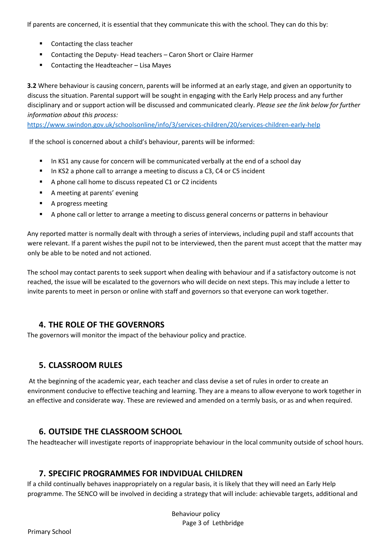If parents are concerned, it is essential that they communicate this with the school. They can do this by:

- Contacting the class teacher
- Contacting the Deputy- Head teachers Caron Short or Claire Harmer
- Contacting the Headteacher Lisa Mayes

**3.2** Where behaviour is causing concern, parents will be informed at an early stage, and given an opportunity to discuss the situation. Parental support will be sought in engaging with the Early Help process and any further disciplinary and or support action will be discussed and communicated clearly. *Please see the link below for further information about this process:* 

<https://www.swindon.gov.uk/schoolsonline/info/3/services-children/20/services-children-early-help>

If the school is concerned about a child's behaviour, parents will be informed:

- In KS1 any cause for concern will be communicated verbally at the end of a school day
- In KS2 a phone call to arrange a meeting to discuss a C3, C4 or C5 incident
- A phone call home to discuss repeated C1 or C2 incidents
- A meeting at parents' evening
- **A progress meeting**
- A phone call or letter to arrange a meeting to discuss general concerns or patterns in behaviour

Any reported matter is normally dealt with through a series of interviews, including pupil and staff accounts that were relevant. If a parent wishes the pupil not to be interviewed, then the parent must accept that the matter may only be able to be noted and not actioned.

The school may contact parents to seek support when dealing with behaviour and if a satisfactory outcome is not reached, the issue will be escalated to the governors who will decide on next steps. This may include a letter to invite parents to meet in person or online with staff and governors so that everyone can work together.

# **4. THE ROLE OF THE GOVERNORS**

The governors will monitor the impact of the behaviour policy and practice.

# **5. CLASSROOM RULES**

At the beginning of the academic year, each teacher and class devise a set of rules in order to create an environment conducive to effective teaching and learning. They are a means to allow everyone to work together in an effective and considerate way. These are reviewed and amended on a termly basis, or as and when required.

# **6. OUTSIDE THE CLASSROOM SCHOOL**

The headteacher will investigate reports of inappropriate behaviour in the local community outside of school hours.

# **7. SPECIFIC PROGRAMMES FOR INDVIDUAL CHILDREN**

If a child continually behaves inappropriately on a regular basis, it is likely that they will need an Early Help programme. The SENCO will be involved in deciding a strategy that will include: achievable targets, additional and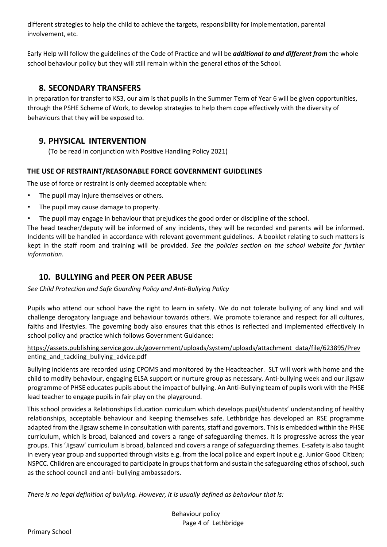different strategies to help the child to achieve the targets, responsibility for implementation, parental involvement, etc.

Early Help will follow the guidelines of the Code of Practice and will be *additional to and different from* the whole school behaviour policy but they will still remain within the general ethos of the School.

# **8. SECONDARY TRANSFERS**

In preparation for transfer to KS3, our aim is that pupils in the Summer Term of Year 6 will be given opportunities, through the PSHE Scheme of Work, to develop strategies to help them cope effectively with the diversity of behaviours that they will be exposed to.

# **9. PHYSICAL INTERVENTION**

(To be read in conjunction with Positive Handling Policy 2021)

# **THE USE OF RESTRAINT/REASONABLE FORCE GOVERNMENT GUIDELINES**

The use of force or restraint is only deemed acceptable when:

- The pupil may injure themselves or others.
- The pupil may cause damage to property.
- The pupil may engage in behaviour that prejudices the good order or discipline of the school.

The head teacher/deputy will be informed of any incidents, they will be recorded and parents will be informed. Incidents will be handled in accordance with relevant government guidelines. A booklet relating to such matters is kept in the staff room and training will be provided. *See the policies section on the school website for further information.* 

# **10. BULLYING and PEER ON PEER ABUSE**

*See Child Protection and Safe Guarding Policy and Anti-Bullying Policy*

Pupils who attend our school have the right to learn in safety. We do not tolerate bullying of any kind and will challenge derogatory language and behaviour towards others. We promote tolerance and respect for all cultures, faiths and lifestyles. The governing body also ensures that this ethos is reflected and implemented effectively in school policy and practice which follows Government Guidance:

[https://assets.publishing.service.gov.uk/government/uploads/system/uploads/attachment\\_data/file/623895/Prev](https://assets.publishing.service.gov.uk/government/uploads/system/uploads/attachment_data/file/623895/Preventing_and_tackling_bullying_advice.pdf)  enting and tackling bullying advice.pdf

Bullying incidents are recorded using CPOMS and monitored by the Headteacher. SLT will work with home and the child to modify behaviour, engaging ELSA support or nurture group as necessary. Anti-bullying week and our Jigsaw programme of PHSE educates pupils about the impact of bullying. An Anti-Bullying team of pupils work with the PHSE lead teacher to engage pupils in fair play on the playground.

This school provides a Relationships Education curriculum which develops pupil/students' understanding of healthy relationships, acceptable behaviour and keeping themselves safe. Lethbridge has developed an RSE programme adapted from the Jigsaw scheme in consultation with parents, staff and governors. This is embedded within the PHSE curriculum, which is broad, balanced and covers a range of safeguarding themes. It is progressive across the year groups. This 'Jigsaw' curriculum is broad, balanced and covers a range of safeguarding themes. E-safety is also taught in every year group and supported through visits e.g. from the local police and expert input e.g. Junior Good Citizen; NSPCC. Children are encouraged to participate in groups that form and sustain the safeguarding ethos of school, such as the school council and anti- bullying ambassadors.

*There is no legal definition of bullying. However, it is usually defined as behaviour that is:*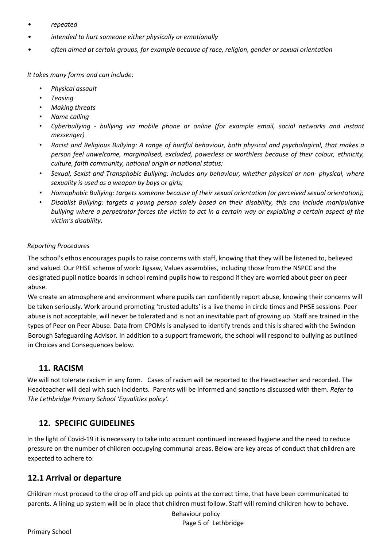- *• repeated*
- *• intended to hurt someone either physically or emotionally*
- *• often aimed at certain groups, for example because of race, religion, gender or sexual orientation*

*It takes many forms and can include:* 

- *Physical assault*
- *Teasing*
- *Making threats*
- *Name calling*
- *Cyberbullying - bullying via mobile phone or online (for example email, social networks and instant messenger)*
- *Racist and Religious Bullying: A range of hurtful behaviour, both physical and psychological, that makes a person feel unwelcome, marginalised, excluded, powerless or worthless because of their colour, ethnicity, culture, faith community, national origin or national status;*
- *Sexual, Sexist and Transphobic Bullying: includes any behaviour, whether physical or non- physical, where sexuality is used as a weapon by boys or girls;*
- *Homophobic Bullying: targets someone because of their sexual orientation (or perceived sexual orientation);*
- *Disablist Bullying: targets a young person solely based on their disability, this can include manipulative bullying where a perpetrator forces the victim to act in a certain way or exploiting a certain aspect of the victim's disability.*

#### *Reporting Procedures*

The school's ethos encourages pupils to raise concerns with staff, knowing that they will be listened to, believed and valued. Our PHSE scheme of work: Jigsaw, Values assemblies, including those from the NSPCC and the designated pupil notice boards in school remind pupils how to respond if they are worried about peer on peer abuse.

We create an atmosphere and environment where pupils can confidently report abuse, knowing their concerns will be taken seriously. Work around promoting 'trusted adults' is a live theme in circle times and PHSE sessions. Peer abuse is not acceptable, will never be tolerated and is not an inevitable part of growing up. Staff are trained in the types of Peer on Peer Abuse. Data from CPOMs is analysed to identify trends and this is shared with the Swindon Borough Safeguarding Advisor. In addition to a support framework, the school will respond to bullying as outlined in Choices and Consequences below.

#### **11. RACISM**

We will not tolerate racism in any form. Cases of racism will be reported to the Headteacher and recorded. The Headteacher will deal with such incidents. Parents will be informed and sanctions discussed with them. *Refer to The Lethbridge Primary School 'Equalities policy'.* 

# **12. SPECIFIC GUIDELINES**

In the light of Covid-19 it is necessary to take into account continued increased hygiene and the need to reduce pressure on the number of children occupying communal areas. Below are key areas of conduct that children are expected to adhere to:

#### **12.1 Arrival or departure**

Children must proceed to the drop off and pick up points at the correct time, that have been communicated to parents. A lining up system will be in place that children must follow. Staff will remind children how to behave.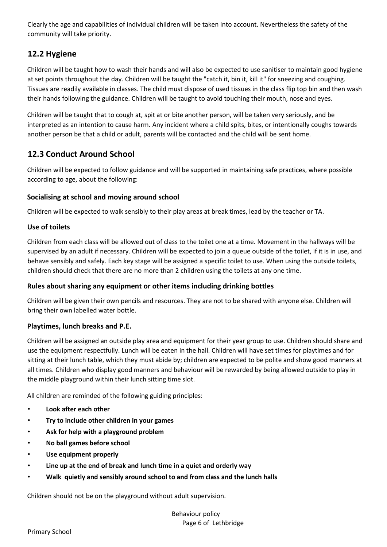Clearly the age and capabilities of individual children will be taken into account. Nevertheless the safety of the community will take priority.

# **12.2 Hygiene**

Children will be taught how to wash their hands and will also be expected to use sanitiser to maintain good hygiene at set points throughout the day. Children will be taught the "catch it, bin it, kill it" for sneezing and coughing. Tissues are readily available in classes. The child must dispose of used tissues in the class flip top bin and then wash their hands following the guidance. Children will be taught to avoid touching their mouth, nose and eyes.

Children will be taught that to cough at, spit at or bite another person, will be taken very seriously, and be interpreted as an intention to cause harm. Any incident where a child spits, bites, or intentionally coughs towards another person be that a child or adult, parents will be contacted and the child will be sent home.

# **12.3 Conduct Around School**

Children will be expected to follow guidance and will be supported in maintaining safe practices, where possible according to age, about the following:

#### **Socialising at school and moving around school**

Children will be expected to walk sensibly to their play areas at break times, lead by the teacher or TA.

#### **Use of toilets**

Children from each class will be allowed out of class to the toilet one at a time. Movement in the hallways will be supervised by an adult if necessary. Children will be expected to join a queue outside of the toilet, if it is in use, and behave sensibly and safely. Each key stage will be assigned a specific toilet to use. When using the outside toilets, children should check that there are no more than 2 children using the toilets at any one time.

#### **Rules about sharing any equipment or other items including drinking bottles**

Children will be given their own pencils and resources. They are not to be shared with anyone else. Children will bring their own labelled water bottle.

#### **Playtimes, lunch breaks and P.E.**

Children will be assigned an outside play area and equipment for their year group to use. Children should share and use the equipment respectfully. Lunch will be eaten in the hall. Children will have set times for playtimes and for sitting at their lunch table, which they must abide by; children are expected to be polite and show good manners at all times. Children who display good manners and behaviour will be rewarded by being allowed outside to play in the middle playground within their lunch sitting time slot.

All children are reminded of the following guiding principles:

- **Look after each other**
- **Try to include other children in your games**
- **Ask for help with a playground problem**
- **No ball games before school**
- **Use equipment properly**
- **Line up at the end of break and lunch time in a quiet and orderly way**
- **Walk quietly and sensibly around school to and from class and the lunch halls**

Children should not be on the playground without adult supervision.

Primary School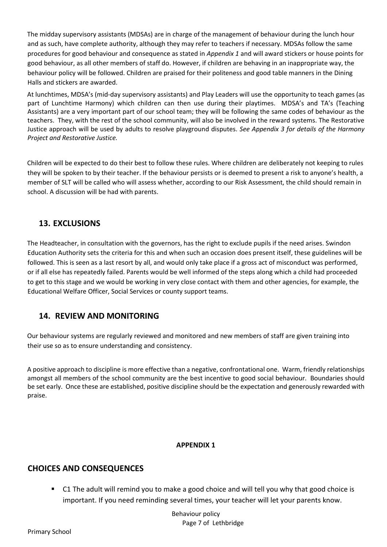The midday supervisory assistants (MDSAs) are in charge of the management of behaviour during the lunch hour and as such, have complete authority, although they may refer to teachers if necessary. MDSAs follow the same procedures for good behaviour and consequence as stated in *Appendix 1* and will award stickers or house points for good behaviour, as all other members of staff do. However, if children are behaving in an inappropriate way, the behaviour policy will be followed. Children are praised for their politeness and good table manners in the Dining Halls and stickers are awarded.

At lunchtimes, MDSA's (mid-day supervisory assistants) and Play Leaders will use the opportunity to teach games (as part of Lunchtime Harmony) which children can then use during their playtimes. MDSA's and TA's (Teaching Assistants) are a very important part of our school team; they will be following the same codes of behaviour as the teachers. They, with the rest of the school community, will also be involved in the reward systems. The Restorative Justice approach will be used by adults to resolve playground disputes. *See Appendix 3 for details of the Harmony Project and Restorative Justice.* 

Children will be expected to do their best to follow these rules. Where children are deliberately not keeping to rules they will be spoken to by their teacher. If the behaviour persists or is deemed to present a risk to anyone's health, a member of SLT will be called who will assess whether, according to our Risk Assessment, the child should remain in school. A discussion will be had with parents.

# **13. EXCLUSIONS**

The Headteacher, in consultation with the governors, has the right to exclude pupils if the need arises. Swindon Education Authority sets the criteria for this and when such an occasion does present itself, these guidelines will be followed. This is seen as a last resort by all, and would only take place if a gross act of misconduct was performed, or if all else has repeatedly failed. Parents would be well informed of the steps along which a child had proceeded to get to this stage and we would be working in very close contact with them and other agencies, for example, the Educational Welfare Officer, Social Services or county support teams.

# **14. REVIEW AND MONITORING**

Our behaviour systems are regularly reviewed and monitored and new members of staff are given training into their use so as to ensure understanding and consistency.

A positive approach to discipline is more effective than a negative, confrontational one. Warm, friendly relationships amongst all members of the school community are the best incentive to good social behaviour. Boundaries should be set early. Once these are established, positive discipline should be the expectation and generously rewarded with praise.

#### **APPENDIX 1**

# **CHOICES AND CONSEQUENCES**

 C1 The adult will remind you to make a good choice and will tell you why that good choice is important. If you need reminding several times, your teacher will let your parents know.

> Behaviour policy Page 7 of Lethbridge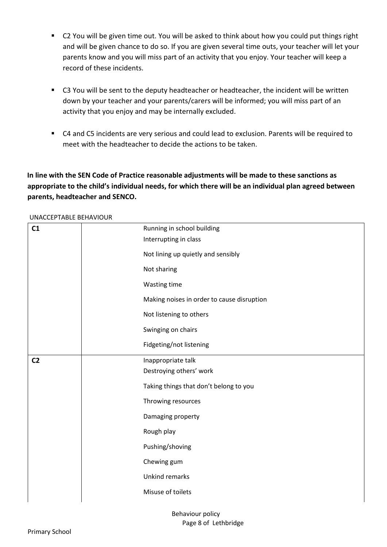- C2 You will be given time out. You will be asked to think about how you could put things right and will be given chance to do so. If you are given several time outs, your teacher will let your parents know and you will miss part of an activity that you enjoy. Your teacher will keep a record of these incidents.
- C3 You will be sent to the deputy headteacher or headteacher, the incident will be written down by your teacher and your parents/carers will be informed; you will miss part of an activity that you enjoy and may be internally excluded.
- C4 and C5 incidents are very serious and could lead to exclusion. Parents will be required to meet with the headteacher to decide the actions to be taken.

# **In line with the SEN Code of Practice reasonable adjustments will be made to these sanctions as appropriate to the child's individual needs, for which there will be an individual plan agreed between parents, headteacher and SENCO.**

UNACCEPTABLE BEHAVIOUR

| C1             | Running in school building                 |
|----------------|--------------------------------------------|
|                | Interrupting in class                      |
|                | Not lining up quietly and sensibly         |
|                | Not sharing                                |
|                | Wasting time                               |
|                | Making noises in order to cause disruption |
|                | Not listening to others                    |
|                | Swinging on chairs                         |
|                | Fidgeting/not listening                    |
| C <sub>2</sub> | Inappropriate talk                         |
|                | Destroying others' work                    |
|                | Taking things that don't belong to you     |
|                | Throwing resources                         |
|                | Damaging property                          |
|                | Rough play                                 |
|                | Pushing/shoving                            |
|                | Chewing gum                                |
|                | Unkind remarks                             |
|                | Misuse of toilets                          |
|                |                                            |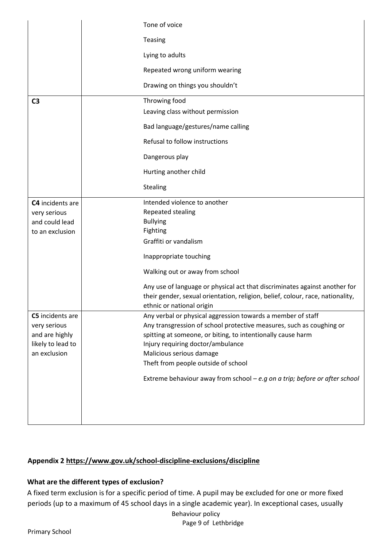|                   | Tone of voice                                                                  |
|-------------------|--------------------------------------------------------------------------------|
|                   | Teasing                                                                        |
|                   | Lying to adults                                                                |
|                   | Repeated wrong uniform wearing                                                 |
|                   | Drawing on things you shouldn't                                                |
| C <sub>3</sub>    | Throwing food                                                                  |
|                   | Leaving class without permission                                               |
|                   | Bad language/gestures/name calling                                             |
|                   | Refusal to follow instructions                                                 |
|                   | Dangerous play                                                                 |
|                   | Hurting another child                                                          |
|                   | Stealing                                                                       |
| C4 incidents are  | Intended violence to another                                                   |
| very serious      | Repeated stealing                                                              |
| and could lead    | <b>Bullying</b>                                                                |
| to an exclusion   | Fighting                                                                       |
|                   | Graffiti or vandalism                                                          |
|                   | Inappropriate touching                                                         |
|                   | Walking out or away from school                                                |
|                   | Any use of language or physical act that discriminates against another for     |
|                   | their gender, sexual orientation, religion, belief, colour, race, nationality, |
|                   | ethnic or national origin                                                      |
| C5 incidents are  | Any verbal or physical aggression towards a member of staff                    |
| very serious      | Any transgression of school protective measures, such as coughing or           |
| and are highly    | spitting at someone, or biting, to intentionally cause harm                    |
| likely to lead to | Injury requiring doctor/ambulance                                              |
| an exclusion      | Malicious serious damage                                                       |
|                   | Theft from people outside of school                                            |
|                   | Extreme behaviour away from school $-e.g$ on a trip; before or after school    |
|                   |                                                                                |
|                   |                                                                                |
|                   |                                                                                |

# **Appendix 2<https://www.gov.uk/school-discipline-exclusions/discipline>**

#### **What are the different types of exclusion?**

Behaviour policy A fixed term exclusion is for a specific period of time. A pupil may be excluded for one or more fixed periods (up to a maximum of 45 school days in a single academic year). In exceptional cases, usually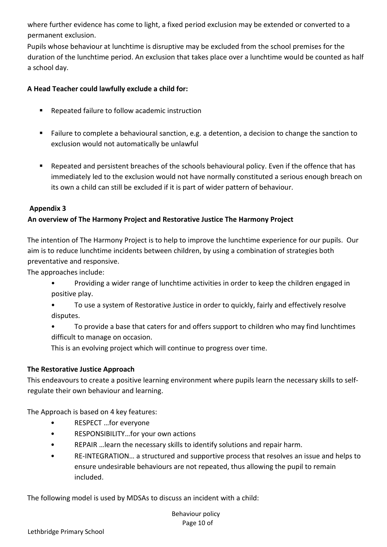where further evidence has come to light, a fixed period exclusion may be extended or converted to a permanent exclusion.

Pupils whose behaviour at lunchtime is disruptive may be excluded from the school premises for the duration of the lunchtime period. An exclusion that takes place over a lunchtime would be counted as half a school day.

#### **A Head Teacher could lawfully exclude a child for:**

- Repeated failure to follow academic instruction
- Failure to complete a behavioural sanction, e.g. a detention, a decision to change the sanction to exclusion would not automatically be unlawful
- Repeated and persistent breaches of the schools behavioural policy. Even if the offence that has immediately led to the exclusion would not have normally constituted a serious enough breach on its own a child can still be excluded if it is part of wider pattern of behaviour.

#### **Appendix 3**

#### **An overview of The Harmony Project and Restorative Justice The Harmony Project**

The intention of The Harmony Project is to help to improve the lunchtime experience for our pupils. Our aim is to reduce lunchtime incidents between children, by using a combination of strategies both preventative and responsive.

The approaches include:

- Providing a wider range of lunchtime activities in order to keep the children engaged in positive play.
- To use a system of Restorative Justice in order to quickly, fairly and effectively resolve disputes.
- To provide a base that caters for and offers support to children who may find lunchtimes difficult to manage on occasion.

This is an evolving project which will continue to progress over time.

#### **The Restorative Justice Approach**

This endeavours to create a positive learning environment where pupils learn the necessary skills to selfregulate their own behaviour and learning.

The Approach is based on 4 key features:

- RESPECT …for everyone
- RESPONSIBILITY...for your own actions
- REPAIR …learn the necessary skills to identify solutions and repair harm.
- RE-INTEGRATION… a structured and supportive process that resolves an issue and helps to ensure undesirable behaviours are not repeated, thus allowing the pupil to remain included.

The following model is used by MDSAs to discuss an incident with a child: